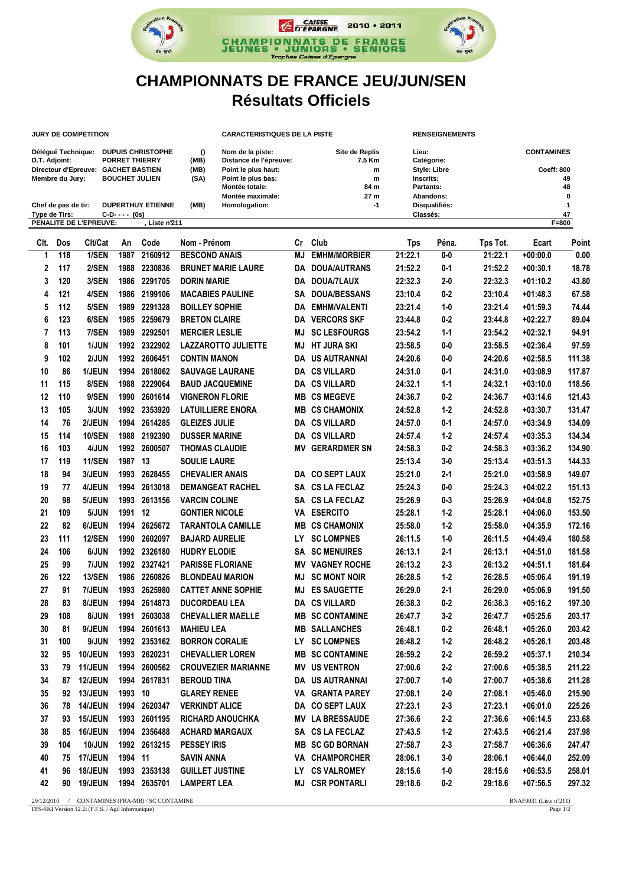

## **CHAMPIONNATS DE FRANCE JEU/JUN/SEN Résultats Officiels**

|               |                     | <b>JURY DE COMPETITION</b>                                                  |                       |                          | <b>CARACTERISTIQUES DE LA PISTE</b> |                                                                                                                               |    |                                                    |                                                                                   | <b>RENSEIGNEMENTS</b>     |                                                         |            |           |  |
|---------------|---------------------|-----------------------------------------------------------------------------|-----------------------|--------------------------|-------------------------------------|-------------------------------------------------------------------------------------------------------------------------------|----|----------------------------------------------------|-----------------------------------------------------------------------------------|---------------------------|---------------------------------------------------------|------------|-----------|--|
| D.T. Adjoint: | Membre du Jury:     | Délégué Technique: DUPUIS CHRISTOPHE<br>Directeur d'Epreuve: GACHET BASTIEN | <b>BOUCHET JULIEN</b> | PORRET THIERRY           | $\Omega$<br>(MB)<br>(MB)<br>(SA)    | Nom de la piste:<br>Distance de l'épreuve:<br>Point le plus haut:<br>Point le plus bas:<br>Montée totale:<br>Montée maximale: |    | Site de Replis<br>7.5 Km<br>m<br>m<br>84 m<br>27 m | Lieu:<br>Catégorie:<br><b>Style: Libre</b><br>Inscrits:<br>Partants:<br>Abandons: |                           | <b>CONTAMINES</b><br><b>Coeff: 800</b><br>49<br>48<br>0 |            |           |  |
| Type de Tirs: | Chef de pas de tir: |                                                                             | $C-D$ ---- (0s)       | <b>DUPERTHUY ETIENNE</b> | (MB)<br>Homologation:               |                                                                                                                               |    | $-1$                                               |                                                                                   | Disqualifiés:<br>Classés: |                                                         |            | 1<br>47   |  |
|               |                     | PENALITE DE L'EPREUVE:                                                      |                       | Liste n'211              |                                     |                                                                                                                               |    |                                                    |                                                                                   |                           |                                                         |            | $F = 800$ |  |
| CIt.          | Dos                 | Clt/Cat                                                                     | An                    | Code                     | Nom - Prénom                        |                                                                                                                               | Cr | Club                                               | <b>Tps</b>                                                                        | Péna.                     | Tps Tot.                                                | Ecart      | Point     |  |
| 1             | 118                 | 1/SEN                                                                       | 1987                  | 2160912                  | <b>BESCOND ANAIS</b>                |                                                                                                                               | ΜJ | <b>EMHM/MORBIER</b>                                | 21:22.1                                                                           | $0-0$                     | 21:22.1                                                 | $+00:00.0$ | 0.00      |  |
| 2             | 117                 | 2/SEN                                                                       | 1988                  | 2230836                  |                                     | <b>BRUNET MARIE LAURE</b>                                                                                                     | DA | <b>DOUA/AUTRANS</b>                                | 21:52.2                                                                           | $0 - 1$                   | 21:52.2                                                 | $+00:30.1$ | 18.78     |  |
| 3             | 120                 | 3/SEN                                                                       | 1986                  | 2291705                  | <b>DORIN MARIE</b>                  |                                                                                                                               | DA | DOUA/7LAUX                                         | 22:32.3                                                                           | $2 - 0$                   | 22:32.3                                                 | $+01:10.2$ | 43.80     |  |
| 4             | 121                 | 4/SEN                                                                       | 1986                  | 2199106                  | <b>MACABIES PAULINE</b>             |                                                                                                                               | SΑ | <b>DOUA/BESSANS</b>                                | 23:10.4                                                                           | $0 - 2$                   | 23:10.4                                                 | $+01:48.3$ | 67.58     |  |
| 5             | 112                 | 5/SEN                                                                       | 1989                  | 2291328                  | <b>BOILLEY SOPHIE</b>               |                                                                                                                               | DA | <b>EMHM/VALENTI</b>                                | 23:21.4                                                                           | $1 - 0$                   | 23:21.4                                                 | $+01:59.3$ | 74.44     |  |
| 6             | 123                 | 6/SEN                                                                       | 1985                  | 2259679                  | <b>BRETON CLAIRE</b>                |                                                                                                                               | DA | <b>VERCORS SKF</b>                                 | 23:44.8                                                                           | $0 - 2$                   | 23:44.8                                                 | $+02:22.7$ | 89.04     |  |
| 7             | 113                 | 7/SEN                                                                       | 1989                  | 2292501                  | <b>MERCIER LESLIE</b>               |                                                                                                                               | MJ | <b>SC LESFOURGS</b>                                | 23:54.2                                                                           | $1 - 1$                   | 23:54.2                                                 | $+02:32.1$ | 94.91     |  |
| 8             | 101                 | 1/JUN                                                                       | 1992                  | 2322902                  |                                     | <b>LAZZAROTTO JULIETTE</b>                                                                                                    | MJ | HT JURA SKI                                        | 23:58.5                                                                           | 0-0                       | 23:58.5                                                 | $+02:36.4$ | 97.59     |  |
| 9             | 102                 | 2/JUN                                                                       | 1992                  | 2606451                  | <b>CONTIN MANON</b>                 |                                                                                                                               | DA | <b>US AUTRANNAI</b>                                | 24:20.6                                                                           | $0-0$                     | 24:20.6                                                 | $+02:58.5$ | 111.38    |  |
| 10            | 86                  | 1/JEUN                                                                      | 1994                  | 2618062                  | <b>SAUVAGE LAURANE</b>              |                                                                                                                               | DA | <b>CS VILLARD</b>                                  | 24:31.0                                                                           | $0 - 1$                   | 24:31.0                                                 | $+03:08.9$ | 117.87    |  |
| 11            | 115                 | 8/SEN                                                                       | 1988                  | 2229064                  | <b>BAUD JACQUEMINE</b>              |                                                                                                                               | DA | <b>CS VILLARD</b>                                  | 24:32.1                                                                           | $1 - 1$                   | 24:32.1                                                 | $+03:10.0$ | 118.56    |  |
| 12            | 110                 | 9/SEN                                                                       | 1990                  | 2601614                  | <b>VIGNERON FLORIE</b>              |                                                                                                                               | MВ | <b>CS MEGEVE</b>                                   | 24:36.7                                                                           | $0 - 2$                   | 24:36.7                                                 | $+03:14.6$ | 121.43    |  |
| 13            | 105                 | 3/JUN                                                                       | 1992                  | 2353920                  | <b>LATUILLIERE ENORA</b>            |                                                                                                                               | MВ | <b>CS CHAMONIX</b>                                 | 24:52.8                                                                           | $1 - 2$                   | 24:52.8                                                 | $+03:30.7$ | 131.47    |  |
| 14            | 76                  | 2/JEUN                                                                      | 1994                  | 2614285                  | <b>GLEIZES JULIE</b>                |                                                                                                                               | DA | <b>CS VILLARD</b>                                  | 24:57.0                                                                           | 0-1                       | 24:57.0                                                 | $+03:34.9$ | 134.09    |  |
| 15            | 114                 | <b>10/SEN</b>                                                               | 1988                  | 2192390                  | <b>DUSSER MARINE</b>                |                                                                                                                               | DA | <b>CS VILLARD</b>                                  | 24:57.4                                                                           | $1 - 2$                   | 24:57.4                                                 | $+03:35.3$ | 134.34    |  |
| 16            | 103                 | <b>4/JUN</b>                                                                | 1992                  | 2600507                  | <b>THOMAS CLAUDIE</b>               |                                                                                                                               | ΜV | <b>GERARDMER SN</b>                                | 24:58.3                                                                           | $0 - 2$                   | 24:58.3                                                 | $+03:36.2$ | 134.90    |  |
| 17            | 119                 | <b>11/SEN</b>                                                               | 1987                  | 13                       | <b>SOULIE LAURE</b>                 |                                                                                                                               |    |                                                    | 25:13.4                                                                           | $3 - 0$                   | 25:13.4                                                 | $+03:51.3$ | 144.33    |  |
| 18            | 94                  | 3/JEUN                                                                      | 1993                  | 2628455                  | <b>CHEVALIER ANAIS</b>              |                                                                                                                               |    | DA CO SEPT LAUX                                    | 25:21.0                                                                           | 2-1                       | 25:21.0                                                 | $+03:58.9$ | 149.07    |  |
| 19            | 77                  | 4/JEUN                                                                      | 1994                  | 2613018                  |                                     | <b>DEMANGEAT RACHEL</b>                                                                                                       | SA | <b>CS LA FECLAZ</b>                                | 25:24.3                                                                           | 0-0                       | 25:24.3                                                 | $+04:02.2$ | 151.13    |  |
| 20            | 98                  | 5/JEUN                                                                      | 1993                  | 2613156                  | <b>VARCIN COLINE</b>                |                                                                                                                               | SΑ | <b>CS LA FECLAZ</b>                                | 25:26.9                                                                           | $0 - 3$                   | 25:26.9                                                 | $+04:04.8$ | 152.75    |  |
| 21            | 109                 | 5/JUN                                                                       | 1991                  | 12                       | <b>GONTIER NICOLE</b>               |                                                                                                                               | VA | <b>ESERCITO</b>                                    | 25:28.1                                                                           | $1 - 2$                   | 25:28.1                                                 | $+04:06.0$ | 153.50    |  |
| 22            | 82                  | 6/JEUN                                                                      | 1994                  | 2625672                  |                                     | <b>TARANTOLA CAMILLE</b>                                                                                                      | MВ | <b>CS CHAMONIX</b>                                 | 25:58.0                                                                           | $1 - 2$                   | 25:58.0                                                 | $+04:35.9$ | 172.16    |  |
| 23            | 111                 | <b>12/SEN</b>                                                               | 1990                  | 2602097                  | <b>BAJARD AURELIE</b>               |                                                                                                                               | LY | <b>SC LOMPNES</b>                                  | 26:11.5                                                                           | $1 - 0$                   | 26:11.5                                                 | $+04:49.4$ | 180.58    |  |
| 24            | 106                 | 6/JUN                                                                       | 1992                  | 2326180                  | <b>HUDRY ELODIE</b>                 |                                                                                                                               | SA | <b>SC MENUIRES</b>                                 | 26:13.1                                                                           | $2 - 1$                   | 26:13.1                                                 | $+04:51.0$ | 181.58    |  |
| 25            | 99                  | <b>7/JUN</b>                                                                | 1992                  | 2327421                  | <b>PARISSE FLORIANE</b>             |                                                                                                                               | Mν | <b>VAGNEY ROCHE</b>                                | 26:13.2                                                                           | 2-3                       | 26:13.2                                                 | $+04:51.1$ | 181.64    |  |
| 26            | 122                 | <b>13/SEN</b>                                                               | 1986                  | 2260826                  | <b>BLONDEAU MARION</b>              |                                                                                                                               | MJ | <b>SC MONT NOIR</b>                                | 26:28.5                                                                           | $1 - 2$                   | 26:28.5                                                 | $+05:06.4$ | 191.19    |  |
| 27            | 91                  | 7/JEUN                                                                      | 1993                  | 2625980                  |                                     | <b>CATTET ANNE SOPHIE</b>                                                                                                     | MJ | <b>ES SAUGETTE</b>                                 | 26:29.0                                                                           | 2-1                       | 26:29.0                                                 | $+05:06.9$ | 191.50    |  |
| 28            | 83                  | 8/JEUN                                                                      |                       | 1994 2614873             | <b>DUCORDEAU LEA</b>                |                                                                                                                               |    | DA CS VILLARD                                      | 26:38.3                                                                           | $0-2$                     | 26:38.3                                                 | $+05:16.2$ | 197.30    |  |
| 29            | 108                 | 8/JUN                                                                       | 1991                  | 2603038                  |                                     | <b>CHEVALLIER MAELLE</b>                                                                                                      |    | <b>MB SC CONTAMINE</b>                             | 26:47.7                                                                           | $3 - 2$                   | 26:47.7                                                 | $+05:25.6$ | 203.17    |  |
| 30            | 81                  | 9/JEUN                                                                      |                       | 1994 2601613             | <b>MAHIEU LEA</b>                   |                                                                                                                               |    | <b>MB SALLANCHES</b>                               | 26:48.1                                                                           | $0 - 2$                   | 26:48.1                                                 | $+05:26.0$ | 203.42    |  |
| 31            | 100                 | 9/JUN                                                                       |                       | 1992 2353162             | <b>BORRON CORALIE</b>               |                                                                                                                               |    | LY SC LOMPNES                                      | 26:48.2                                                                           | $1 - 2$                   | 26:48.2                                                 | +05:26.1   | 203.48    |  |
| 32            | 95                  | 10/JEUN                                                                     |                       | 1993 2620231             | <b>CHEVALLIER LOREN</b>             |                                                                                                                               |    | <b>MB SC CONTAMINE</b>                             | 26:59.2                                                                           | $2 - 2$                   | 26:59.2                                                 | $+05:37.1$ | 210.34    |  |
| 33            | 79                  | 11/JEUN                                                                     |                       | 1994 2600562             |                                     | <b>CROUVEZIER MARIANNE</b>                                                                                                    |    | <b>MV US VENTRON</b>                               | 27:00.6                                                                           | $2 - 2$                   | 27:00.6                                                 | $+05:38.5$ | 211.22    |  |
| 34            | 87                  | 12/JEUN                                                                     |                       | 1994 2617831             | <b>BEROUD TINA</b>                  |                                                                                                                               |    | DA US AUTRANNAI                                    | 27:00.7                                                                           | $1-0$                     | 27:00.7                                                 | $+05:38.6$ | 211.28    |  |
| 35            | 92                  | 13/JEUN                                                                     | 1993 10               |                          | <b>GLAREY RENEE</b>                 |                                                                                                                               |    | VA GRANTA PAREY                                    | 27:08.1                                                                           | $2 - 0$                   | 27:08.1                                                 | $+05:46.0$ | 215.90    |  |
| 36            | 78                  | 14/JEUN                                                                     |                       | 1994 2620347             | <b>VERKINDT ALICE</b>               |                                                                                                                               |    | DA CO SEPT LAUX                                    | 27:23.1                                                                           | $2 - 3$                   | 27:23.1                                                 | $+06:01.0$ | 225.26    |  |
| 37            | 93                  | 15/JEUN                                                                     |                       | 1993 2601195             |                                     | <b>RICHARD ANOUCHKA</b>                                                                                                       |    | <b>MV LA BRESSAUDE</b>                             | 27:36.6                                                                           | $2 - 2$                   | 27:36.6                                                 | $+06:14.5$ | 233.68    |  |
| 38            | 85                  | 16/JEUN                                                                     |                       | 1994 2356488             | <b>ACHARD MARGAUX</b>               |                                                                                                                               |    | SA CS LA FECLAZ                                    | 27:43.5                                                                           | $1 - 2$                   | 27:43.5                                                 | $+06:21.4$ | 237.98    |  |
| 39            | 104                 | <b>10/JUN</b>                                                               |                       | 1992 2613215             | <b>PESSEY IRIS</b>                  |                                                                                                                               |    | <b>MB SC GD BORNAN</b>                             | 27:58.7                                                                           | $2 - 3$                   | 27:58.7                                                 | $+06:36.6$ | 247.47    |  |
| 40            | 75                  | 17/JEUN                                                                     | 1994 11               |                          | <b>SAVIN ANNA</b>                   |                                                                                                                               |    | VA CHAMPORCHER                                     | 28:06.1                                                                           | $3-0$                     | 28:06.1                                                 | $+06:44.0$ | 252.09    |  |
| 41            | 96                  | 18/JEUN                                                                     |                       | 1993 2353138             | <b>GUILLET JUSTINE</b>              |                                                                                                                               |    | LY CS VALROMEY                                     | 28:15.6                                                                           | $1-0$                     | 28:15.6                                                 | $+06:53.5$ | 258.01    |  |
| 42            | 90                  | 19/JEUN                                                                     |                       | 1994 2635701             | <b>LAMPERT LEA</b>                  |                                                                                                                               |    | <b>MJ CSR PONTARLI</b>                             | 29:18.6                                                                           | $0 - 2$                   | 29:18.6                                                 | $+07:56.5$ | 297.32    |  |

29/12/2010 / CONTAMINES (FRA-MB) / SC CONTAMINE<br>FFS-SKI Version 12.2i (F.F.S. / Agil Informatique) Page 1/2